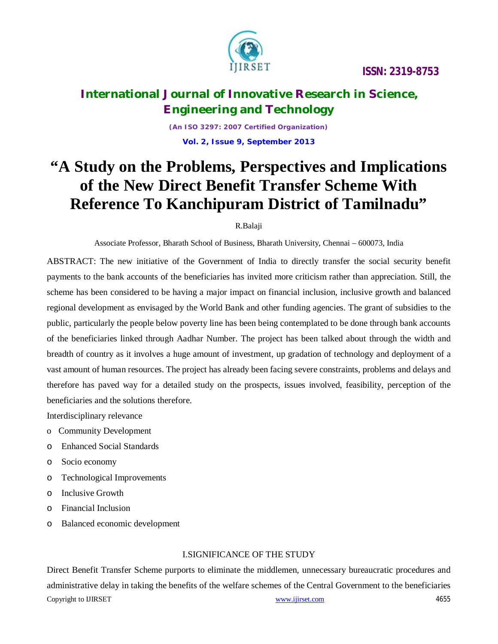

## **International Journal of Innovative Research in Science, Engineering and Technology**

*(An ISO 3297: 2007 Certified Organization)*

**Vol. 2, Issue 9, September 2013**

# **"A Study on the Problems, Perspectives and Implications of the New Direct Benefit Transfer Scheme With Reference To Kanchipuram District of Tamilnadu"**

### R.Balaji

Associate Professor, Bharath School of Business, Bharath University, Chennai – 600073, India

ABSTRACT: The new initiative of the Government of India to directly transfer the social security benefit payments to the bank accounts of the beneficiaries has invited more criticism rather than appreciation. Still, the scheme has been considered to be having a major impact on financial inclusion, inclusive growth and balanced regional development as envisaged by the World Bank and other funding agencies. The grant of subsidies to the public, particularly the people below poverty line has been being contemplated to be done through bank accounts of the beneficiaries linked through Aadhar Number. The project has been talked about through the width and breadth of country as it involves a huge amount of investment, up gradation of technology and deployment of a vast amount of human resources. The project has already been facing severe constraints, problems and delays and therefore has paved way for a detailed study on the prospects, issues involved, feasibility, perception of the beneficiaries and the solutions therefore.

Interdisciplinary relevance

- o Community Development
- o Enhanced Social Standards
- o Socio economy
- o Technological Improvements
- o Inclusive Growth
- o Financial Inclusion
- o Balanced economic development

### I.SIGNIFICANCE OF THE STUDY

Copyright to UIRSET 4655 Direct Benefit Transfer Scheme purports to eliminate the middlemen, unnecessary bureaucratic procedures and administrative delay in taking the benefits of the welfare schemes of the Central Government to the beneficiaries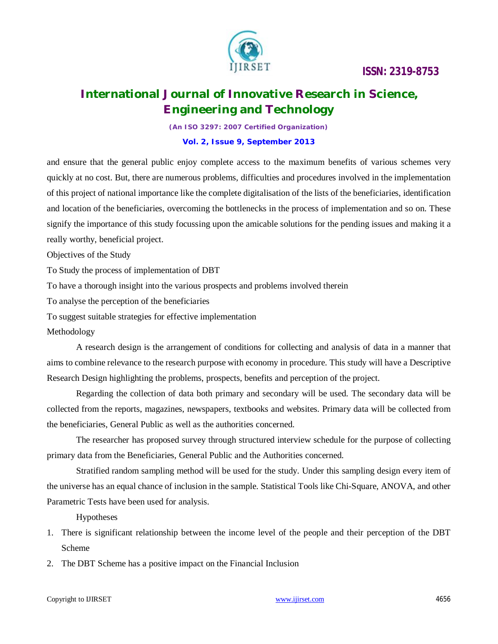

## **International Journal of Innovative Research in Science, Engineering and Technology**

*(An ISO 3297: 2007 Certified Organization)*

#### **Vol. 2, Issue 9, September 2013**

and ensure that the general public enjoy complete access to the maximum benefits of various schemes very quickly at no cost. But, there are numerous problems, difficulties and procedures involved in the implementation of this project of national importance like the complete digitalisation of the lists of the beneficiaries, identification and location of the beneficiaries, overcoming the bottlenecks in the process of implementation and so on. These signify the importance of this study focussing upon the amicable solutions for the pending issues and making it a really worthy, beneficial project.

Objectives of the Study

To Study the process of implementation of DBT

To have a thorough insight into the various prospects and problems involved therein

To analyse the perception of the beneficiaries

To suggest suitable strategies for effective implementation

Methodology

A research design is the arrangement of conditions for collecting and analysis of data in a manner that aims to combine relevance to the research purpose with economy in procedure. This study will have a Descriptive Research Design highlighting the problems, prospects, benefits and perception of the project.

Regarding the collection of data both primary and secondary will be used. The secondary data will be collected from the reports, magazines, newspapers, textbooks and websites. Primary data will be collected from the beneficiaries, General Public as well as the authorities concerned.

The researcher has proposed survey through structured interview schedule for the purpose of collecting primary data from the Beneficiaries, General Public and the Authorities concerned.

Stratified random sampling method will be used for the study. Under this sampling design every item of the universe has an equal chance of inclusion in the sample. Statistical Tools like Chi-Square, ANOVA, and other Parametric Tests have been used for analysis.

Hypotheses

- 1. There is significant relationship between the income level of the people and their perception of the DBT Scheme
- 2. The DBT Scheme has a positive impact on the Financial Inclusion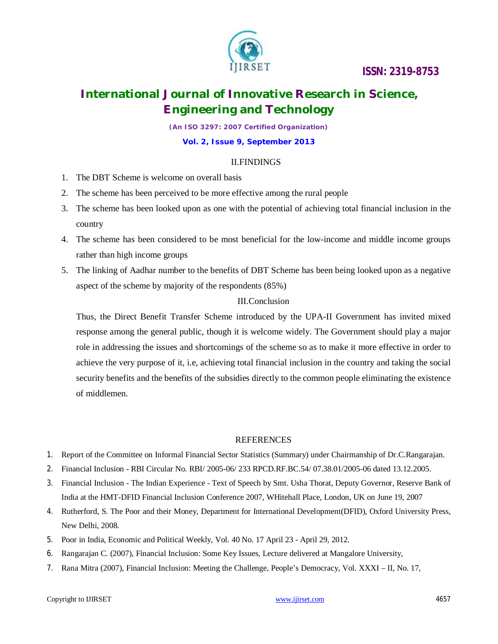

## **International Journal of Innovative Research in Science, Engineering and Technology**

*(An ISO 3297: 2007 Certified Organization)*

#### **Vol. 2, Issue 9, September 2013**

### II.FINDINGS

- 1. The DBT Scheme is welcome on overall basis
- 2. The scheme has been perceived to be more effective among the rural people
- 3. The scheme has been looked upon as one with the potential of achieving total financial inclusion in the country
- 4. The scheme has been considered to be most beneficial for the low-income and middle income groups rather than high income groups
- 5. The linking of Aadhar number to the benefits of DBT Scheme has been being looked upon as a negative aspect of the scheme by majority of the respondents (85%)

### III.Conclusion

Thus, the Direct Benefit Transfer Scheme introduced by the UPA-II Government has invited mixed response among the general public, though it is welcome widely. The Government should play a major role in addressing the issues and shortcomings of the scheme so as to make it more effective in order to achieve the very purpose of it, i.e, achieving total financial inclusion in the country and taking the social security benefits and the benefits of the subsidies directly to the common people eliminating the existence of middlemen.

#### REFERENCES

- 1. Report of the Committee on Informal Financial Sector Statistics (Summary) under Chairmanship of Dr.C.Rangarajan.
- 2. Financial Inclusion RBI Circular No. RBI/ 2005-06/ 233 RPCD.RF.BC.54/ 07.38.01/2005-06 dated 13.12.2005.
- 3. Financial Inclusion The Indian Experience Text of Speech by Smt. Usha Thorat, Deputy Governor, Reserve Bank of India at the HMT-DFID Financial Inclusion Conference 2007, WHitehall Place, London, UK on June 19, 2007
- 4. Rutherford, S. The Poor and their Money, Department for International Development(DFID), Oxford University Press, New Delhi, 2008.
- 5. Poor in India, Economic and Political Weekly, Vol. 40 No. 17 April 23 April 29, 2012.
- 6. Rangarajan C. (2007), Financial Inclusion: Some Key Issues, Lecture delivered at Mangalore University,
- 7. Rana Mitra (2007), Financial Inclusion: Meeting the Challenge, People's Democracy, Vol. XXXI II, No. 17,